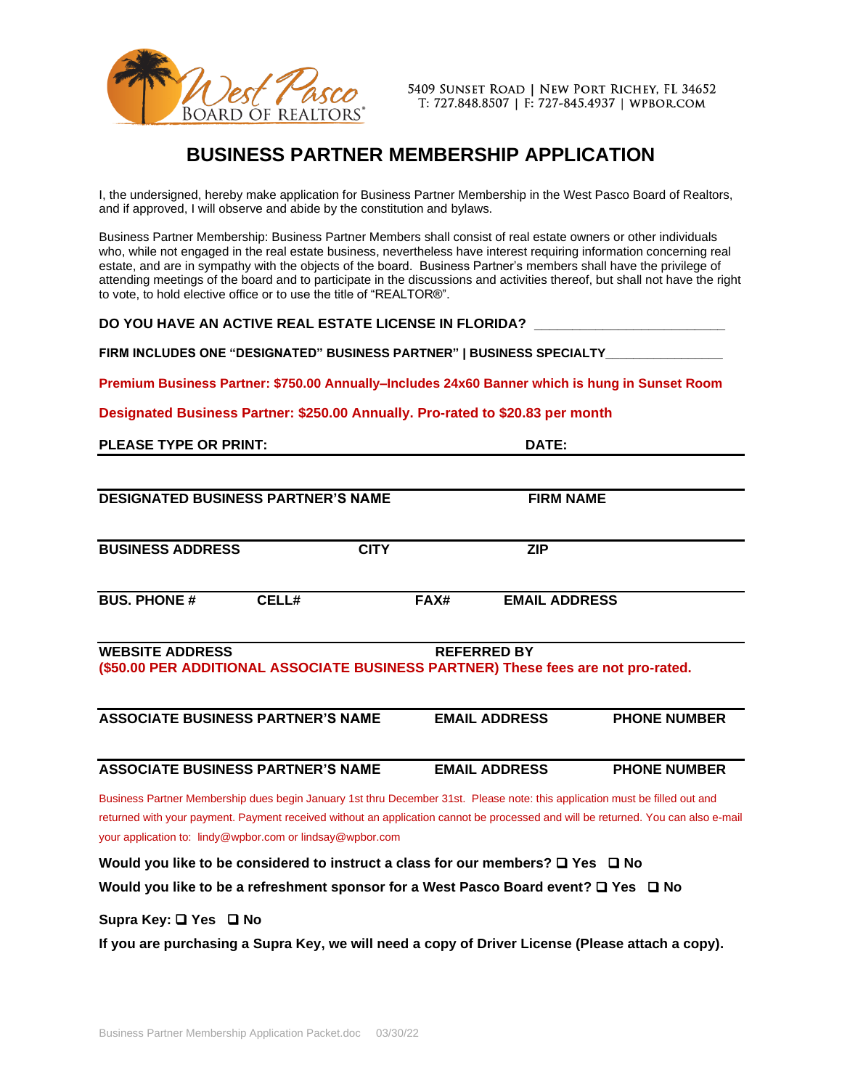

## **BUSINESS PARTNER MEMBERSHIP APPLICATION**

I, the undersigned, hereby make application for Business Partner Membership in the West Pasco Board of Realtors, and if approved, I will observe and abide by the constitution and bylaws.

Business Partner Membership: Business Partner Members shall consist of real estate owners or other individuals who, while not engaged in the real estate business, nevertheless have interest requiring information concerning real estate, and are in sympathy with the objects of the board. Business Partner's members shall have the privilege of attending meetings of the board and to participate in the discussions and activities thereof, but shall not have the right to vote, to hold elective office or to use the title of "REALTOR®".

**DO YOU HAVE AN ACTIVE REAL ESTATE LICENSE IN FLORIDA? \_\_\_\_\_\_\_\_\_\_\_\_\_\_\_\_\_\_\_\_\_\_\_\_\_**

**FIRM INCLUDES ONE "DESIGNATED" BUSINESS PARTNER" | BUSINESS SPECIALTY\_\_\_\_\_\_\_\_\_\_\_\_\_\_\_\_\_**

**Premium Business Partner: \$750.00 Annually–Includes 24x60 Banner which is hung in Sunset Room**

**Designated Business Partner: \$250.00 Annually. Pro-rated to \$20.83 per month**

| <b>PLEASE TYPE OR PRINT:</b>                                                                                                      |             |      | DATE:                |  |
|-----------------------------------------------------------------------------------------------------------------------------------|-------------|------|----------------------|--|
|                                                                                                                                   |             |      |                      |  |
| <b>DESIGNATED BUSINESS PARTNER'S NAME</b>                                                                                         |             |      | <b>FIRM NAME</b>     |  |
|                                                                                                                                   |             |      |                      |  |
| <b>BUSINESS ADDRESS</b>                                                                                                           | <b>CITY</b> |      | <b>ZIP</b>           |  |
|                                                                                                                                   |             |      |                      |  |
| <b>BUS. PHONE #</b>                                                                                                               | CELL#       | FAX# | <b>EMAIL ADDRESS</b> |  |
|                                                                                                                                   |             |      |                      |  |
| <b>WEBSITE ADDRESS</b><br><b>REFERRED BY</b><br>(\$50.00 PER ADDITIONAL ASSOCIATE BUSINESS PARTNER) These fees are not pro-rated. |             |      |                      |  |

| <b>ASSOCIATE BUSINESS PARTNER'S NAME</b> | <b>EMAIL ADDRESS</b> | <b>PHONE NUMBER</b> |
|------------------------------------------|----------------------|---------------------|
|                                          |                      |                     |

| <b>ASSOCIATE BUSINESS PARTNER'S NAME</b> | <b>EMAIL ADDRESS</b> | <b>PHONE NUMBER</b> |
|------------------------------------------|----------------------|---------------------|
|                                          |                      |                     |

Business Partner Membership dues begin January 1st thru December 31st. Please note: this application must be filled out and returned with your payment. Payment received without an application cannot be processed and will be returned. You can also e-mail your application to: [lindy@wpbor.com](mailto:lindy@wpbor.com) or lindsay@wpbor.com

**Would you like to be considered to instruct a class for our members?** ❑ **Yes** ❑ **No**

**Would you like to be a refreshment sponsor for a West Pasco Board event?** ❑ **Yes** ❑ **No**

**Supra Key:** ❑ **Yes** ❑ **No**

**If you are purchasing a Supra Key, we will need a copy of Driver License (Please attach a copy).**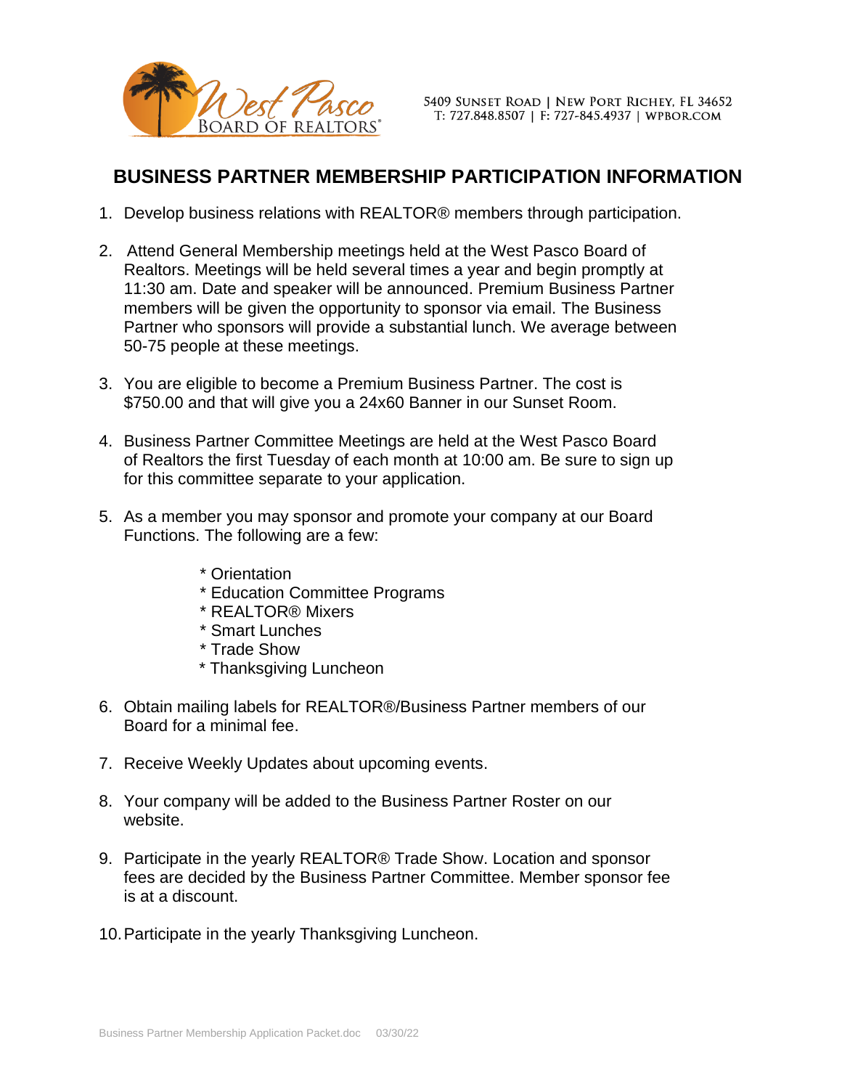

5409 SUNSET ROAD | NEW PORT RICHEY, FL 34652 T: 727.848.8507 | F: 727-845.4937 | WPBOR.COM

## **BUSINESS PARTNER MEMBERSHIP PARTICIPATION INFORMATION**

- 1. Develop business relations with REALTOR® members through participation.
- 2. Attend General Membership meetings held at the West Pasco Board of Realtors. Meetings will be held several times a year and begin promptly at 11:30 am. Date and speaker will be announced. Premium Business Partner members will be given the opportunity to sponsor via email. The Business Partner who sponsors will provide a substantial lunch. We average between 50-75 people at these meetings.
- 3. You are eligible to become a Premium Business Partner. The cost is \$750.00 and that will give you a 24x60 Banner in our Sunset Room.
- 4. Business Partner Committee Meetings are held at the West Pasco Board of Realtors the first Tuesday of each month at 10:00 am. Be sure to sign up for this committee separate to your application.
- 5. As a member you may sponsor and promote your company at our Board Functions. The following are a few:
	- \* Orientation
	- \* Education Committee Programs
	- \* REALTOR® Mixers
	- \* Smart Lunches
	- \* Trade Show
	- \* Thanksgiving Luncheon
- 6. Obtain mailing labels for REALTOR®/Business Partner members of our Board for a minimal fee.
- 7. Receive Weekly Updates about upcoming events.
- 8. Your company will be added to the Business Partner Roster on our website.
- 9. Participate in the yearly REALTOR® Trade Show. Location and sponsor fees are decided by the Business Partner Committee. Member sponsor fee is at a discount.
- 10.Participate in the yearly Thanksgiving Luncheon.